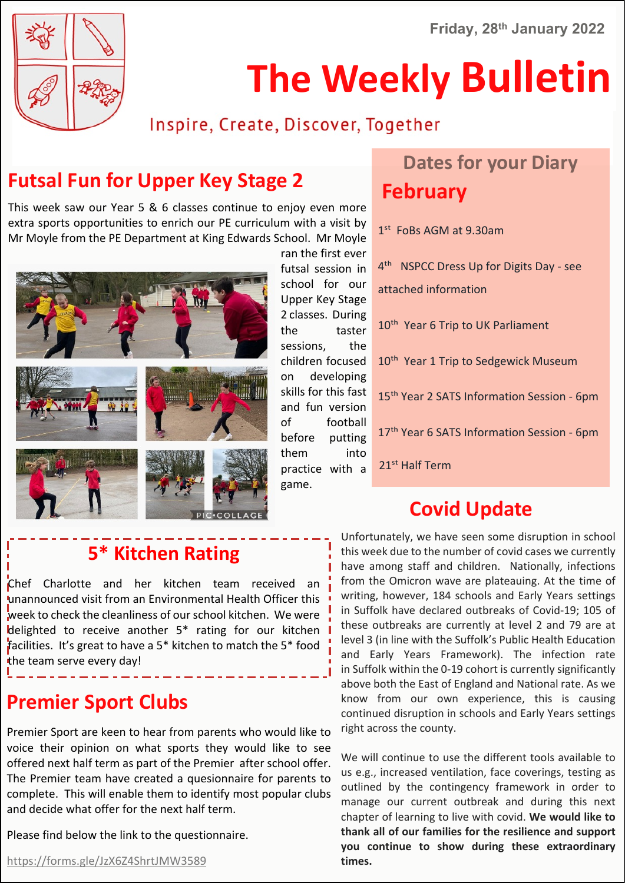**Friday, 28th January 2022**



## **The Weekly Bulletin**

#### Inspire, Create, Discover, Together

#### **Futsal Fun for Upper Key Stage 2**

This week saw our Year 5 & 6 classes continue to enjoy even more extra sports opportunities to enrich our PE curriculum with a visit by Mr Moyle from the PE Department at King Edwards School. Mr Moyle



ran the first ever futsal session in school for our Upper Key Stage 2 classes. During the taster sessions, the children focused on developing skills for this fast and fun version of football before putting them into practice with a game.

### **Dates for your Diary February**

 $1<sup>st</sup>$  FoBs AGM at 9.30am

4<sup>th</sup> NSPCC Dress Up for Digits Day - see attached information 10<sup>th</sup> Year 6 Trip to UK Parliament 10<sup>th</sup> Year 1 Trip to Sedgewick Museum 15<sup>th</sup> Year 2 SATS Information Session - 6pm 17<sup>th</sup> Year 6 SATS Information Session - 6pm 21<sup>st</sup> Half Term

#### **Covid Update**

#### **5\* Kitchen Rating**

Chef Charlotte and her kitchen team received an unannounced visit from an Environmental Health Officer this week to check the cleanliness of our school kitchen. We were delighted to receive another 5\* rating for our kitchen facilities. It's great to have a 5\* kitchen to match the 5\* food the team serve every day!

#### **Premier Sport Clubs**

Premier Sport are keen to hear from parents who would like to voice their opinion on what sports they would like to see offered next half term as part of the Premier after school offer. The Premier team have created a quesionnaire for parents to complete. This will enable them to identify most popular clubs and decide what offer for the next half term.

Please find below the link to the questionnaire.

Unfortunately, we have seen some disruption in school this week due to the number of covid cases we currently have among staff and children. Nationally, infections from the Omicron wave are plateauing. At the time of writing, however, 184 schools and Early Years settings in Suffolk have declared outbreaks of Covid-19; 105 of these outbreaks are currently at level 2 and 79 are at level 3 (in line with the Suffolk's Public Health Education and Early Years Framework). The infection rate in Suffolk within the 0-19 cohort is currently significantly above both the East of England and National rate. As we know from our own experience, this is causing continued disruption in schools and Early Years settings right across the county.

We will continue to use the different tools available to us e.g., increased ventilation, face coverings, testing as outlined by the contingency framework in order to manage our current outbreak and during this next chapter of learning to live with covid. **We would like to thank all of our families for the resilience and support you continue to show during these extraordinary times.**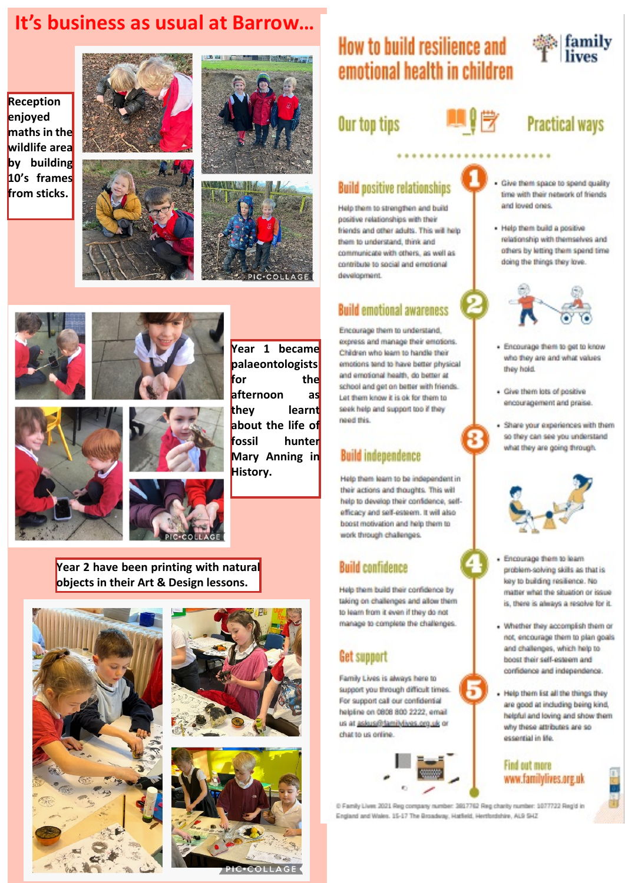#### It's business as usual at Barrow...

Reception enjoyed maths in the wildlife area by building 10's frames from sticks.







THE MANUFACTURE







Year 1 became palaeontologists for the afternoon they learnt about the life of fossil hunter Mary Anning in History.

as

Year 2 have been printing with natural objects in their Art & Design lessons.







#### How to build resilience and  $\frac{d\mathbf{r}}{d\mathbf{r}}$  family emotional health in children

#### Our top tips



#### **Practical ways**

#### **Build positive relationships**

Help them to strengthen and build positive relationships with their friends and other adults. This will help tham to understand, think and communicate with others, as well as contribute to social and emotional development.

#### **Build emotional awareness**

Encourage them to understand. copress and manage their emotions. Children who learn to handle their emotions tend to have better physical and emotional health, do better at school and get on better with friends. Let them know it is ok for them to seek help and support too if they need this

#### **Build independence**

Help them learn to be independent in their actions and thoughts. This will help to develop their confidence, selfefficacy and self-esteem. It will also boost motivation and help them to work through challenges.

#### **Build confidence**

Help them build their confidence by taking on challenges and allow them to learn from it even if they do not manage to complete the challenges.

#### **Get support**

Family Lives is always here to support you through difficult times. For support call our confidential halpline on 0808 800 2222, email us at askus@tamiMiyes.org.uk or chat to us ordina-



- · Give them space to spend quality time with their network of friends. and Insert nnes
- Help them build a positive relationship with themselves and others by letting them spend time doing the things they love.



- Encourage them to get to know who they are and what values they hold.
- · Give them lots of positive encouragement and praise.
- · Share your experiences with them so they can see you understand what they are going through.



- Encourage them to learn problem-solving skills as that is key to building resilience. No matter what the situation or issue is, there is always a resolve for it.
- . Whether they accomplish them or not, encourage them to plan goals and challenges, which help to boost their self-esteem and confidence and independence.
- Help them list all the things they are good at including being kind, helpful and loving and show them. why these attributes are so essential in life.

#### Find out more www.familylives.org.uk



@ Family Lives 2021 Reg company number: 3817762 Reg charity number: 1077722 Regid in England and Wales, 15-17 The Broadway, Hatfield, Hertfordshire, AL9 5H2